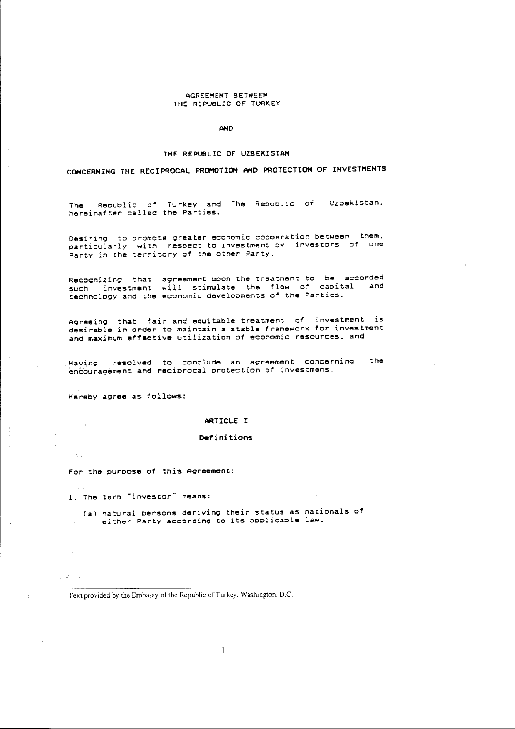# AGREEMENT BETWEEN THE REPUBLIC OF TURKEY

AND

### THE REPUBLIC OF UZBEKISTAN

CONCERNING THE RECIPROCAL PROMOTION AND PROTECTION OF INVESTMENTS

Republic of Turkey and The Republic of Uzbekistan. The I hereinafter called the Parties.

Desiring to promote greater economic cooperation between them. particularly with respect to investment by investors of one Party in the territory of the other Party.

Recognizing that agreement upon the treatment to be accorded such investment will stimulate the flow of capital and<br>technology and the economic developments of the Parties.

Agreeing that fair and equitable treatment of investment is desirable in order to maintain a stable framework for investment and maximum effective utilization of economic resources. and

the Having resolved to conclude an agreement concerning encouragement and reciprocal protection of investmens.

Hereby agree as follows:

 $\sim$   $\sim$ 

Set 20

ti se jav

 $\mathcal{L}=\mathcal{P}_{\mathcal{L}}\left(\mathcal{L}_{\mathcal{L}}\right)$ 

#### ARTICLE I

#### Definitions

For the purpose of this Agreement:

1. The term "investor" means:

(a) natural persons deriving their status as nationals of either Party according to its applicable law.

Text provided by the Embassy of the Republic of Turkey, Washington, D.C.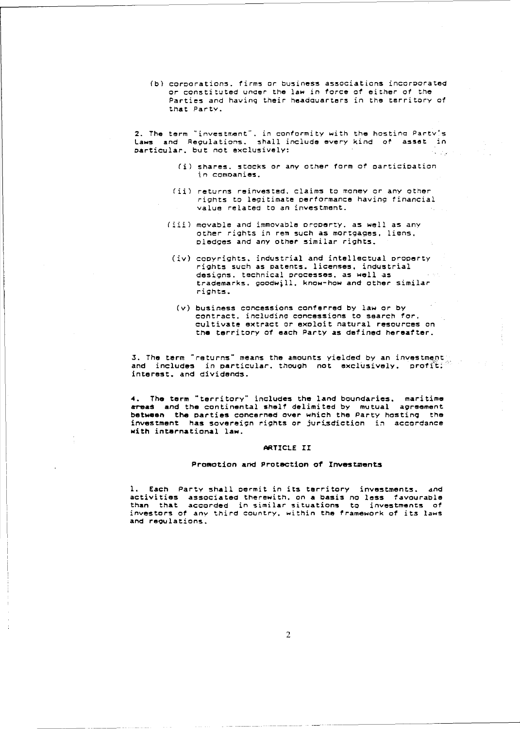(b) corporations, firms or business associations incorporated or constituted under the law in force of either of the Parties and having their headquarters in the territory of that Party.

2. The term "investment", in conformity with the hosting Party's<br>Laws and Regulations, shall include every kind of asset in particular, but not exclusively:

- (i) shares, stocks or any other form of participation in companies.
- (ii) returns reinvested, claims to money or any other rights to legitimate performance having financial value related to an investment.
- (iii) movable and immovable property, as well as any other rights in rem such as mortgages, liens, pledges and any other similar rights.
	- (iv) copyrights, industrial and intellectual property rights such as patents. licenses, industrial designs, technical processes, as well as trademarks, goodwill, know-how and other similar richts.
	- (v) business concessions conferred by law or by contract, including concessions to search for, cultivate extract or exploit natural resources on the territory of each Party as defined hereafter.

3. The term "returns" means the amounts yielded by an investment and includes in particular, though not exclusively, profit; interest, and dividends.

4. The term "territory" includes the land boundaries, maritime areas and the continental shelf delimited by mutual agreement between the parties concerned over which the Party hosting the investment has sovereign rights or jurisdiction in accordance with international law.

## ARTICLE II

## Promotion and Protection of Investments

1. Each Party shall permit in its territory investments. and activities associated therewith, on a basis no less favourable than that accorded in similar situations to investments of<br>investors of any third country, within the framework of its laws and regulations.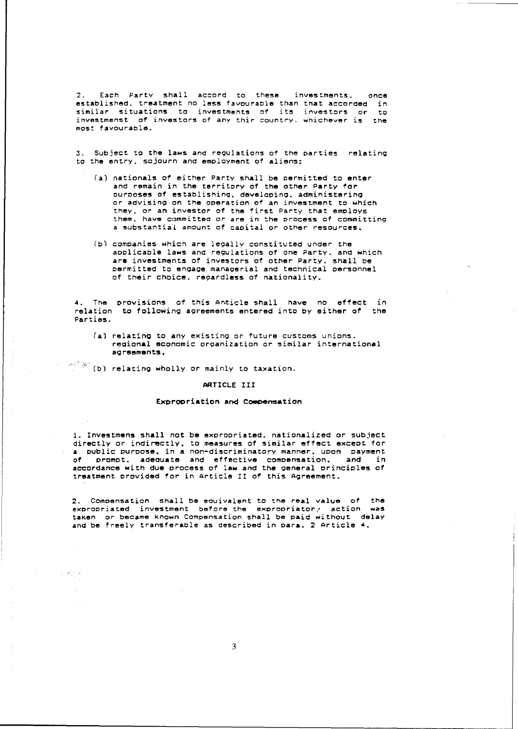2. Each Party shall accord to these investments. once established. treatment no less favourable than that accorded in similar situations to investments of its investors or to investmenst of investors of any thir country. whichever is the most favourable.

3. Subject to the laws and regulations of the parties relating to the entry. sojourn and emoloyment of aliens;

- (a) nationals of either Party shall be oermitted to enter and remain in the territory of the other Party for purooses of establishing. developing. administering or advising on the ooeration of an investment to which they. or an investor of the first Party that emoloys them. have committed or are in the process of committing **a 5ubstantia"L amount of caoital or other resources.**
- (b) comoanies which are leQally constituted under the aoplicable laws and regulations of one Party. and which are investments of investors of other Party. shall be permitted to engage managerial and technical oersonnel of their choice, regardless of nationality.

4. The provisions of this Anticle-shall have no effect in rela tion to following aQreements entered into by either of the Parties.

(a) relating to any existing or future customs unions. regional economic orQanization or similar international **aQreements.** 

 $\mathbb{R}^{\mathbb{C}\times\mathbb{C}}$  (b) relating wholly or mainly to taxation.

## ARTICLE III

# Expropriation and Compensation

1. Investmens shall not be exoropriated. nationalized or subject directly or indirectly. to measures of similar effect exceot for a public purpose. in a non-discriminatory manner. upon payment of prompt. adeQuate and effective compensation. and in accordance with due process of law and the general principles of treatment provided for in Article 11 of this Agreement.

2. Comoensation shall be eouivalent to tne real value *at* the **eXDrooriated investment before the eXDrooriator.' action waS**  taken or became known Compensation shall be paid without delay and be freely transferable as described in para. 2 Article 4.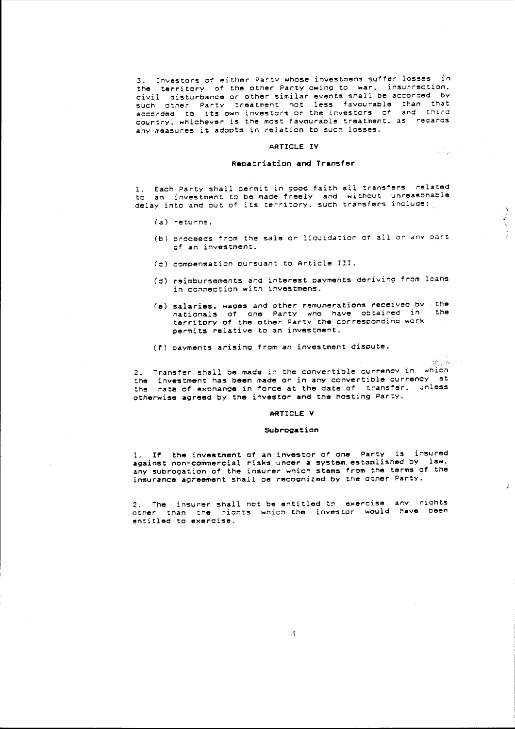3. Investors of either Party whose investmens suffer losses in<br>the territory of the other Party owing to war, insurrection. territory of the other Party owing to war. insurrection. civil disturbance or other similar events shall be accorded by  $\frac{1}{2}$  such other Party treatment not less favourable than that  $\frac{1}{2}$  and  $\frac{1}{2}$ country, whichever is the most favourable treatment, as regards any measures it adopts in relation to such losses.

## ARTICLE IV

 $\label{eq:2} \frac{1}{\sqrt{2}}\sum_{\mathbf{k},\mathbf{k}'}\frac{1}{\sqrt{2}}\sum_{\mathbf{k},\mathbf{k}'}\frac{1}{\sqrt{2}}\sum_{\mathbf{k},\mathbf{k}'}\frac{1}{\sqrt{2}}\sum_{\mathbf{k},\mathbf{k}'}\frac{1}{\sqrt{2}}\sum_{\mathbf{k},\mathbf{k}'}\frac{1}{\sqrt{2}}\sum_{\mathbf{k},\mathbf{k}'}\frac{1}{\sqrt{2}}\sum_{\mathbf{k},\mathbf{k}'}\frac{1}{\sqrt{2}}\sum_{\mathbf{k},\mathbf{k}'}\frac{1}{\sqrt{2}}\sum_{\mathbf{k},\mathbf$ 

ਾਲੀ ਪਾਲੀ ਹ

 $\mathcal{J}$ 

## Repatriation **and** Transfer

1. Each Party shall permit in good faith all transfers related to an investment to be made freely and without unreasonable<br>delay into and out of its territory, such transfers include: transfers include:

- (a) returns.
- (b) proceeds from the sale or liouidation of all or any part **of an investment.**
- (c) compensation pursuant to Article III.
- (d) reimbursements and interest payments deriving from loans in connection with investmens.
- (e) salaries. wages and other remunerations received by .the nationals of one Party who have obtained in terri tory at the other' Party the corresponding work permits relative to an investment.
- (1) payments arising from an investment dispute.

2. Transfer shall be made in the convertible currencv in which the investment has been made or in any convertible currency at<br>the rate of exchange in force at the date of transfer, unless the rate at exchange in torce at the date *at* transfer. unless otherwise agreed by the investor and the hosting Party.

#### ARTICLE V

#### Subrogation

1. It the investment of an investor *at* one Party is insured against non-commercial risks under a system established by law. any subrogation at the insurer which stems from the terms of the insurance agreement shall be recognized by the other Party.

2. The insurer shall not be entitled to exercise any rights other than the riohts whiCh the investor would **have been entitled to exercise.**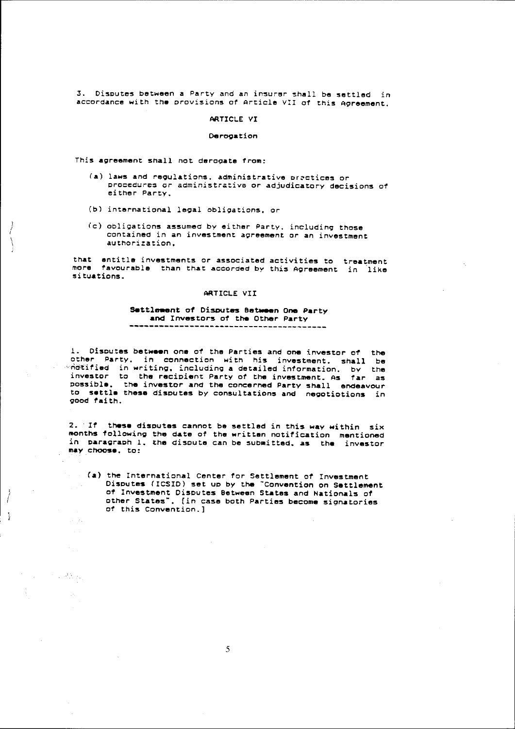3. Disoutes between a Party and an insurer shall be settled in accordance with the provisions of Article VII of this Agreement.

#### ARTICLE VI

## Derogation

This agreement shall not derogate from:

t I I

 $\left\{ \right.$ 

i (

 $\hat{\chi}$ 

计时间 网络区

- (a) laws and regulations. administrative prectices or prc=edu~sz **or** administ~.tivu **or adjudicatory decisions** *ot*  either Party.
- (b) international legal obligations. or
- *(c)* obligations assumed by either Party. including those contained in an investment agreement *or* an investment authorization.

that entitle investments or associated activities to treatment<br>more favourable than that accorded by this Agreement in like si tuations. in like

### ARTICLE VII

# Settlement of Disputes Batween One Party and Investors of the Other Party **----------------------------------------**

1. Disoutes between one of the Parties and one investor of the other Party. in connection with his investment. shall be  $\rightarrow$ ndtified in writing, including a detailed information. by the investor to the recipient Party of the investment. As far as oossible. the investor and the concerned Party shall endeavour to settle these disputes by consultations and negotiotions in Qood faith.

2. If these disputes cannot be settled in this way within six months following the date of the Nritten notification mentioned in paragraph 1. the dispute can be submitted, as the investor maY choose. to:

(a) the International Center for Settlement of Investment Disoutes (ICSIO) set uo by the "Convention on Settlement of Investment Disoutes Between States and Nationals of other States". [in case both Parties become signatories of this Convention.]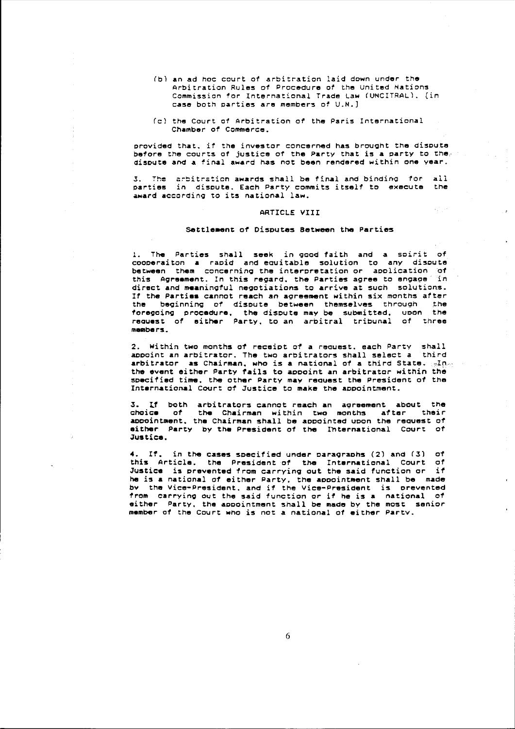- (b) an ad hoc court of arbitration laid down under the Arbitration Rules of Procedure of the United Nations Commission for International Trade Law (UNCITRAL). [in case both parties are members of U.N.]
- (cl the Court of Arbitration of the Paris International Chamber of Commerce.

provided that, if the investor concerned has brought the dispute before the courts of justice of the Party that is a party to the. disDute and a final award has not been rendered within one year.

3. The arbitration awards shall be final and binding for all parties in dispute. Each Party commits itself to execute the award according to its national law.

# ARTICLE VIII

 $\rightarrow$ 

# Settlement of Disputes Between the Parties

1. The Parties shall seek in good faith and a soirit of cooperaitan a raoid and eauitable solution to any dispute between them concerning the interpretation or application of this Agreement. In this regard, the Parties agree to engage in direct and meaningful negotiations to arrive at such solutions. If the Parties cannat reach an agreement within six months after the beginning of dispute between themselves through the foregoing procedure. the dispute may be submitted. upon the reauest of either Party. to an arbitral tribunal of three members.

2. Within two months of receipt of a reauest. each Party shall aopoint an arbitrator. The two arbitrators shall select a third arbitrator as Chairman, who is a national of a third State.  $\mathbb{R}^{n}$ the event either Party tails to appoint an arbitratar within the specified time. the other Party may reouest the President *ot* the International Court *ot* Justice ta make the aopointment.

3. Lf both arbitrators cannot reach an agreement about the the Chairman within two months after their appointment, the Chairman shall be appointed upon the request of either party by the President of the lhternational Court of Justice.

*4. It.* in the Cases specified under paragraphs (2) and (3) *ot*  this Article. the President of the International Court of Justice is prevented *trom* carrying out the said function or *it*  he is a national of either Party. the appointment shall be made by the Vice-President. and if the Vice-President is prevented from carrying out the said function or if he is a national of either Party. the appointment shall be made by the most senior member 01 the Court who is not a national 01 either partv.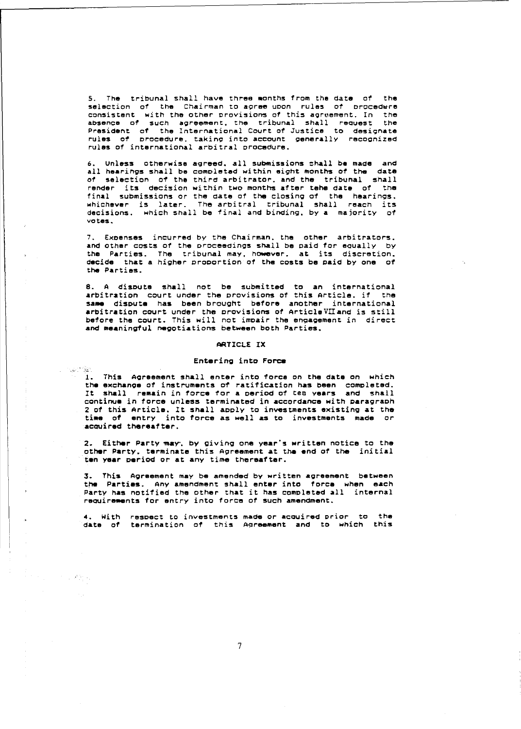5. The tribunal shall have three months from the date of the selection of the Chairman to agree upon rules of procedure consistent with the other provisions of this agreement. In the absence of such agreement. the tribunal shall reouest the President of the International Court of Justice to designate<br>rules of procedure, taking into account generally recognized procedure, taking into account generally recognized rules 01 international arbitral procedure.

6. Unless otherwise agreed, all submissions shall be made and all hearings shall be completed within eight months of the date of selection of the third arbitrator. and the tribunal shall render its decision within two months after tehe date of the final submissions or the date of the closing of the hearings. whichever is later. The arbitral tribunal shall reach its decisions. which shall be final and binding. by a majority of Yotes.

7. Expenses incurred by the Chairman. the other arbitrators. and other costs of the proceedings shall be paid for eaually by the Parties. The tribunal may. however. at its discretion. decide that a higher proportion of the cpsts be paid by one of the Parties.

8. A dispute shall not be submitted to an international arbitration court under the provisions of this Article. if the same dispute has been brought before another international and dispute has been brought before another international before the court. This will not impair the engagement in direct and meaningful negatiations between both Parties.

#### ARTICLE IX

# Entering into Force

 $\sim$ 

1998年

**1. This Agreement shall enter into force on the date on which** the exchange of instruments of ratification has been completed. It shall remain in force for a period of ten years and shall continue in force unless terminated in accordance with paragraph 2 of this Article. It shall apply to investments existing at the time of entry into force as well as to investments made or aCQUired thereafter.

2. Either Party may, by giving one year's written notice to the other Party. terminate this Agreement at the end of the initial ten year period or at any time thereafter.

3. This Agreement may be amended by written agreement between the Parties. Any amendment shall enter into force when each Party has notified the other that it has completed all internal requirements for entry into force of such amendment.

4. With respect to investments made or acquired prior to the date of termination of this A9reement and to which this